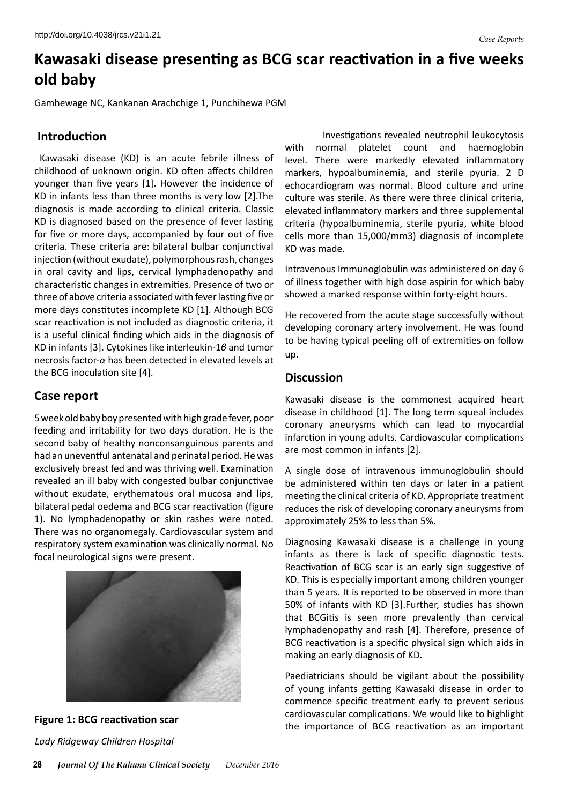# **Kawasaki disease presenting as BCG scar reactivation in a five weeks old baby**

Gamhewage NC, Kankanan Arachchige 1, Punchihewa PGM

## **Introduction**

 Kawasaki disease (KD) is an acute febrile illness of childhood of unknown origin. KD often affects children younger than five years [1]. However the incidence of KD in infants less than three months is very low [2].The diagnosis is made according to clinical criteria. Classic KD is diagnosed based on the presence of fever lasting for five or more days, accompanied by four out of five criteria. These criteria are: bilateral bulbar conjunctival injection (without exudate), polymorphousrash, changes in oral cavity and lips, cervical lymphadenopathy and characteristic changes in extremities. Presence of two or three of above criteria associatedwith feverlasting five or more days constitutes incomplete KD [1]. Although BCG scar reactivation is not included as diagnostic criteria, it is a useful clinical finding which aids in the diagnosis of KD in infants [3]. Cytokines like interleukin-1*β* and tumor necrosis factor-*α* has been detected in elevated levels at the BCG inoculation site [4].

# **Case report**

5 week old baby boy presented with high grade fever, poor feeding and irritability for two days duration. He is the second baby of healthy nonconsanguinous parents and had an uneventful antenatal and perinatal period. He was exclusively breast fed and was thriving well. Examination revealed an ill baby with congested bulbar conjunctivae without exudate, erythematous oral mucosa and lips, bilateral pedal oedema and BCG scar reactivation (figure 1). No lymphadenopathy or skin rashes were noted. There was no organomegaly. Cardiovascular system and respiratory system examination was clinically normal. No focal neurological signs were present.



#### **Figure 1: BCG reactivation scar**

*Lady Ridgeway Children Hospital*

 Investigations revealed neutrophil leukocytosis with normal platelet count and haemoglobin level. There were markedly elevated inflammatory markers, hypoalbuminemia, and sterile pyuria. 2 D echocardiogram was normal. Blood culture and urine culture was sterile. As there were three clinical criteria, elevated inflammatory markers and three supplemental criteria (hypoalbuminemia, sterile pyuria, white blood cells more than 15,000/mm3) diagnosis of incomplete KD was made.

Intravenous Immunoglobulin was administered on day 6 of illness together with high dose aspirin for which baby showed a marked response within forty-eight hours.

He recovered from the acute stage successfully without developing coronary artery involvement. He was found to be having typical peeling off of extremities on follow up.

## **Discussion**

Kawasaki disease is the commonest acquired heart disease in childhood [1]. The long term squeal includes coronary aneurysms which can lead to myocardial infarction in young adults. Cardiovascular complications are most common in infants [2].

A single dose of intravenous immunoglobulin should be administered within ten days or later in a patient meeting the clinical criteria of KD. Appropriate treatment reduces the risk of developing coronary aneurysms from approximately 25% to less than 5%.

Diagnosing Kawasaki disease is a challenge in young infants as there is lack of specific diagnostic tests. Reactivation of BCG scar is an early sign suggestive of KD. This is especially important among children younger than 5 years. It is reported to be observed in more than 50% of infants with KD [3].Further, studies has shown that BCGitis is seen more prevalently than cervical lymphadenopathy and rash [4]. Therefore, presence of BCG reactivation is a specific physical sign which aids in making an early diagnosis of KD.

Paediatricians should be vigilant about the possibility of young infants getting Kawasaki disease in order to commence specific treatment early to prevent serious cardiovascular complications. We would like to highlight the importance of BCG reactivation as an important